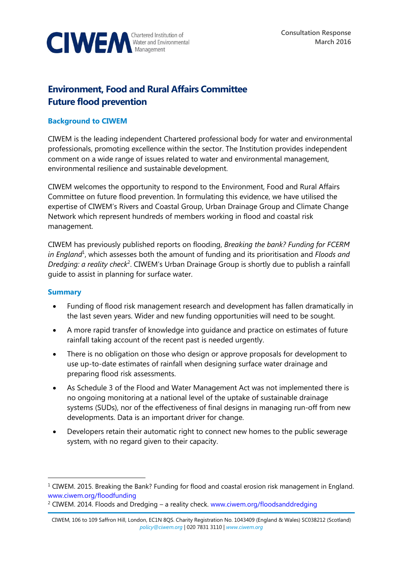

# **Environment, Food and Rural Affairs Committee Future flood prevention**

# **Background to CIWEM**

CIWEM is the leading independent Chartered professional body for water and environmental professionals, promoting excellence within the sector. The Institution provides independent comment on a wide range of issues related to water and environmental management, environmental resilience and sustainable development.

CIWEM welcomes the opportunity to respond to the Environment, Food and Rural Affairs Committee on future flood prevention. In formulating this evidence, we have utilised the expertise of CIWEM's Rivers and Coastal Group, Urban Drainage Group and Climate Change Network which represent hundreds of members working in flood and coastal risk management.

CIWEM has previously published reports on flooding, *Breaking the bank? Funding for FCERM in England*<sup>1</sup> , which assesses both the amount of funding and its prioritisation and *Floods and*  Dredging: a reality check<sup>2</sup>. CIWEM's Urban Drainage Group is shortly due to publish a rainfall guide to assist in planning for surface water.

### **Summary**

 $\overline{a}$ 

- Funding of flood risk management research and development has fallen dramatically in the last seven years. Wider and new funding opportunities will need to be sought.
- A more rapid transfer of knowledge into guidance and practice on estimates of future rainfall taking account of the recent past is needed urgently.
- There is no obligation on those who design or approve proposals for development to use up-to-date estimates of rainfall when designing surface water drainage and preparing flood risk assessments.
- As Schedule 3 of the Flood and Water Management Act was not implemented there is no ongoing monitoring at a national level of the uptake of sustainable drainage systems (SUDs), nor of the effectiveness of final designs in managing run-off from new developments. Data is an important driver for change.
- Developers retain their automatic right to connect new homes to the public sewerage system, with no regard given to their capacity.

 $1$  CIWEM. 2015. Breaking the Bank? Funding for flood and coastal erosion risk management in England. [www.ciwem.org/floodfunding](http://www.ciwem.org/floodfunding)

<sup>2</sup> CIWEM. 2014. Floods and Dredging – a reality check. [www.ciwem.org/floodsanddredging](http://www.ciwem.org/floodsanddredging)

CIWEM, 106 to 109 Saffron Hill, London, EC1N 8QS. Charity Registration No. 1043409 (England & Wales) SC038212 (Scotland) *[policy@ciwem.org](mailto:policy@ciwem.org)* | 020 7831 3110 | *[www.ciwem.org](http://www.ciwem.org/)*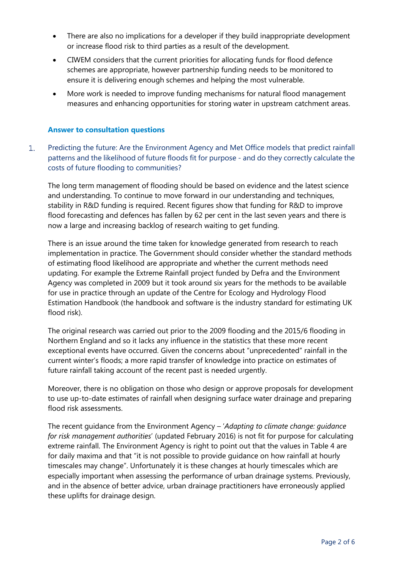- There are also no implications for a developer if they build inappropriate development or increase flood risk to third parties as a result of the development.
- CIWEM considers that the current priorities for allocating funds for flood defence schemes are appropriate, however partnership funding needs to be monitored to ensure it is delivering enough schemes and helping the most vulnerable.
- More work is needed to improve funding mechanisms for natural flood management measures and enhancing opportunities for storing water in upstream catchment areas.

## **Answer to consultation questions**

 $1.$ Predicting the future: Are the Environment Agency and Met Office models that predict rainfall patterns and the likelihood of future floods fit for purpose - and do they correctly calculate the costs of future flooding to communities?

The long term management of flooding should be based on evidence and the latest science and understanding. To continue to move forward in our understanding and techniques, stability in R&D funding is required. Recent figures show that funding for R&D to improve flood forecasting and defences has fallen by 62 per cent in the last seven years and there is now a large and increasing backlog of research waiting to get funding.

There is an issue around the time taken for knowledge generated from research to reach implementation in practice. The Government should consider whether the standard methods of estimating flood likelihood are appropriate and whether the current methods need updating. For example the Extreme Rainfall project funded by Defra and the Environment Agency was completed in 2009 but it took around six years for the methods to be available for use in practice through an update of the Centre for Ecology and Hydrology Flood Estimation Handbook (the handbook and software is the industry standard for estimating UK flood risk).

The original research was carried out prior to the 2009 flooding and the 2015/6 flooding in Northern England and so it lacks any influence in the statistics that these more recent exceptional events have occurred. Given the concerns about "unprecedented" rainfall in the current winter's floods; a more rapid transfer of knowledge into practice on estimates of future rainfall taking account of the recent past is needed urgently.

Moreover, there is no obligation on those who design or approve proposals for development to use up-to-date estimates of rainfall when designing surface water drainage and preparing flood risk assessments.

The recent guidance from the Environment Agency – '*Adapting to climate change: guidance for risk management authorities*' (updated February 2016) is not fit for purpose for calculating extreme rainfall. The Environment Agency is right to point out that the values in Table 4 are for daily maxima and that "it is not possible to provide guidance on how rainfall at hourly timescales may change". Unfortunately it is these changes at hourly timescales which are especially important when assessing the performance of urban drainage systems. Previously, and in the absence of better advice, urban drainage practitioners have erroneously applied these uplifts for drainage design.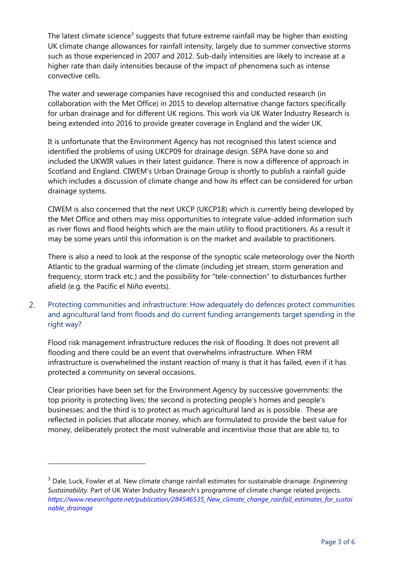The latest climate science<sup>3</sup> suggests that future extreme rainfall may be higher than existing UK climate change allowances for rainfall intensity, largely due to summer convective storms such as those experienced in 2007 and 2012. Sub-daily intensities are likely to increase at a higher rate than daily intensities because of the impact of phenomena such as intense convective cells.

The water and sewerage companies have recognised this and conducted research (in collaboration with the Met Office) in 2015 to develop alternative change factors specifically for urban drainage and for different UK regions. This work via UK Water Industry Research is being extended into 2016 to provide greater coverage in England and the wider UK.

It is unfortunate that the Environment Agency has not recognised this latest science and identified the problems of using UKCP09 for drainage design. SEPA have done so and included the UKWIR values in their latest guidance. There is now a difference of approach in Scotland and England. CIWEM's Urban Drainage Group is shortly to publish a rainfall guide which includes a discussion of climate change and how its effect can be considered for urban drainage systems.

CIWEM is also concerned that the next UKCP (UKCP18) which is currently being developed by the Met Office and others may miss opportunities to integrate value-added information such as river flows and flood heights which are the main utility to flood practitioners. As a result it may be some years until this information is on the market and available to practitioners.

There is also a need to look at the response of the synoptic scale meteorology over the North Atlantic to the gradual warming of the climate (including jet stream, storm generation and frequency, storm track etc.) and the possibility for "tele-connection" to disturbances further afield (e.g. the Pacific el Niño events).

#### Protecting communities and infrastructure: How adequately do defences protect communities  $2.$ and agricultural land from floods and do current funding arrangements target spending in the right way?

Flood risk management infrastructure reduces the risk of flooding. It does not prevent all flooding and there could be an event that overwhelms infrastructure. When FRM infrastructure is overwhelmed the instant reaction of many is that it has failed, even if it has protected a community on several occasions.

Clear priorities have been set for the Environment Agency by successive governments: the top priority is protecting lives; the second is protecting people's homes and people's businesses; and the third is to protect as much agricultural land as is possible. These are reflected in policies that allocate money, which are formulated to provide the best value for money, deliberately protect the most vulnerable and incentivise those that are able to, to

 $\overline{a}$ 

<sup>3</sup> Dale, Luck, Fowler et al. New climate change rainfall estimates for sustainable drainage. *Engineering Sustainability.* Part of UK Water Industry Research's programme of climate change related projects. *[https://www.researchgate.net/publication/284546535\\_New\\_climate\\_change\\_rainfall\\_estimates\\_for\\_sustai](https://www.researchgate.net/publication/284546535_New_climate_change_rainfall_estimates_for_sustainable_drainage) [nable\\_drainage](https://www.researchgate.net/publication/284546535_New_climate_change_rainfall_estimates_for_sustainable_drainage)*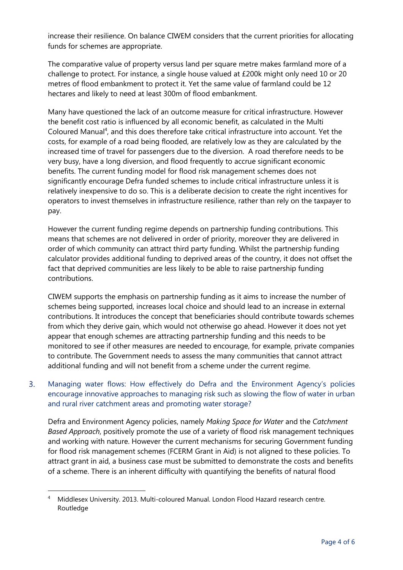increase their resilience. On balance CIWEM considers that the current priorities for allocating funds for schemes are appropriate.

The comparative value of property versus land per square metre makes farmland more of a challenge to protect. For instance, a single house valued at £200k might only need 10 or 20 metres of flood embankment to protect it. Yet the same value of farmland could be 12 hectares and likely to need at least 300m of flood embankment.

Many have questioned the lack of an outcome measure for critical infrastructure. However the benefit cost ratio is influenced by all economic benefit, as calculated in the Multi Coloured Manual<sup>4</sup>, and this does therefore take critical infrastructure into account. Yet the costs, for example of a road being flooded, are relatively low as they are calculated by the increased time of travel for passengers due to the diversion. A road therefore needs to be very busy, have a long diversion, and flood frequently to accrue significant economic benefits. The current funding model for flood risk management schemes does not significantly encourage Defra funded schemes to include critical infrastructure unless it is relatively inexpensive to do so. This is a deliberate decision to create the right incentives for operators to invest themselves in infrastructure resilience, rather than rely on the taxpayer to pay.

However the current funding regime depends on partnership funding contributions. This means that schemes are not delivered in order of priority, moreover they are delivered in order of which community can attract third party funding. Whilst the partnership funding calculator provides additional funding to deprived areas of the country, it does not offset the fact that deprived communities are less likely to be able to raise partnership funding contributions.

CIWEM supports the emphasis on partnership funding as it aims to increase the number of schemes being supported, increases local choice and should lead to an increase in external contributions. It introduces the concept that beneficiaries should contribute towards schemes from which they derive gain, which would not otherwise go ahead. However it does not yet appear that enough schemes are attracting partnership funding and this needs to be monitored to see if other measures are needed to encourage, for example, private companies to contribute. The Government needs to assess the many communities that cannot attract additional funding and will not benefit from a scheme under the current regime.

 $\overline{3}$ . Managing water flows: How effectively do Defra and the Environment Agency's policies encourage innovative approaches to managing risk such as slowing the flow of water in urban and rural river catchment areas and promoting water storage?

Defra and Environment Agency policies, namely *Making Space for Water* and the *Catchment Based Approach*, positively promote the use of a variety of flood risk management techniques and working with nature. However the current mechanisms for securing Government funding for flood risk management schemes (FCERM Grant in Aid) is not aligned to these policies. To attract grant in aid, a business case must be submitted to demonstrate the costs and benefits of a scheme. There is an inherent difficulty with quantifying the benefits of natural flood

-

<sup>4</sup> Middlesex University. 2013. Multi-coloured Manual. London Flood Hazard research centre. Routledge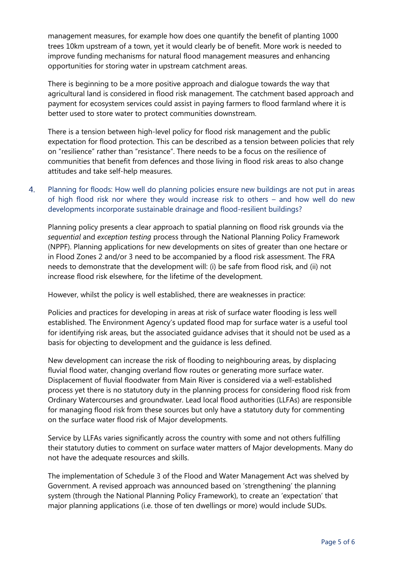management measures, for example how does one quantify the benefit of planting 1000 trees 10km upstream of a town, yet it would clearly be of benefit. More work is needed to improve funding mechanisms for natural flood management measures and enhancing opportunities for storing water in upstream catchment areas.

There is beginning to be a more positive approach and dialogue towards the way that agricultural land is considered in flood risk management. The catchment based approach and payment for ecosystem services could assist in paying farmers to flood farmland where it is better used to store water to protect communities downstream.

There is a tension between high-level policy for flood risk management and the public expectation for flood protection. This can be described as a tension between policies that rely on "resilience" rather than "resistance". There needs to be a focus on the resilience of communities that benefit from defences and those living in flood risk areas to also change attitudes and take self-help measures.

Planning for floods: How well do planning policies ensure new buildings are not put in areas  $\overline{4}$ . of high flood risk nor where they would increase risk to others – and how well do new developments incorporate sustainable drainage and flood-resilient buildings?

Planning policy presents a clear approach to spatial planning on flood risk grounds via the *sequential* and *exception testing* process through the National Planning Policy Framework (NPPF). Planning applications for new developments on sites of greater than one hectare or in Flood Zones 2 and/or 3 need to be accompanied by a flood risk assessment. The FRA needs to demonstrate that the development will: (i) be safe from flood risk, and (ii) not increase flood risk elsewhere, for the lifetime of the development.

However, whilst the policy is well established, there are weaknesses in practice:

Policies and practices for developing in areas at risk of surface water flooding is less well established. The Environment Agency's updated flood map for surface water is a useful tool for identifying risk areas, but the associated guidance advises that it should not be used as a basis for objecting to development and the guidance is less defined.

New development can increase the risk of flooding to neighbouring areas, by displacing fluvial flood water, changing overland flow routes or generating more surface water. Displacement of fluvial floodwater from Main River is considered via a well-established process yet there is no statutory duty in the planning process for considering flood risk from Ordinary Watercourses and groundwater. Lead local flood authorities (LLFAs) are responsible for managing flood risk from these sources but only have a statutory duty for commenting on the surface water flood risk of Major developments.

Service by LLFAs varies significantly across the country with some and not others fulfilling their statutory duties to comment on surface water matters of Major developments. Many do not have the adequate resources and skills.

The implementation of Schedule 3 of the Flood and Water Management Act was shelved by Government. A revised approach was announced based on 'strengthening' the planning system (through the National Planning Policy Framework), to create an 'expectation' that major planning applications (i.e. those of ten dwellings or more) would include SUDs.